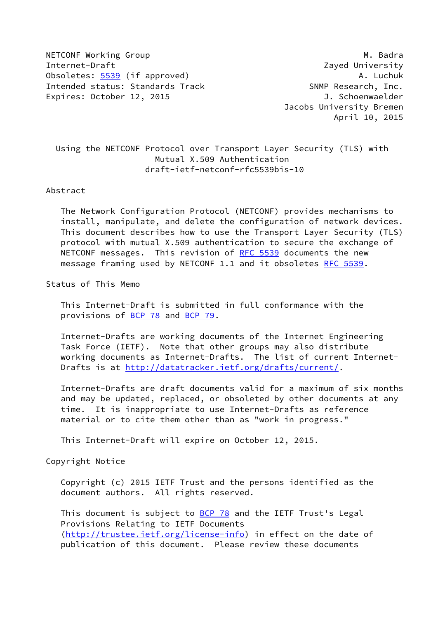NETCONF Working Group **M. Badra** M. Badra Internet-Draft Zayed University Obsoletes: [5539](https://datatracker.ietf.org/doc/pdf/rfc5539) (if approved) and the control of the control of the control of the control of the control of the control of the control of the control of the control of the control of the control of the control of the cont Intended status: Standards Track SNMP Research, Inc. Expires: October 12, 2015 **J. Schoenwaelder** 

 Jacobs University Bremen April 10, 2015

 Using the NETCONF Protocol over Transport Layer Security (TLS) with Mutual X.509 Authentication draft-ietf-netconf-rfc5539bis-10

## Abstract

 The Network Configuration Protocol (NETCONF) provides mechanisms to install, manipulate, and delete the configuration of network devices. This document describes how to use the Transport Layer Security (TLS) protocol with mutual X.509 authentication to secure the exchange of NETCONF messages. This revision of [RFC 5539](https://datatracker.ietf.org/doc/pdf/rfc5539) documents the new message framing used by NETCONF 1.1 and it obsoletes [RFC 5539](https://datatracker.ietf.org/doc/pdf/rfc5539).

Status of This Memo

 This Internet-Draft is submitted in full conformance with the provisions of [BCP 78](https://datatracker.ietf.org/doc/pdf/bcp78) and [BCP 79](https://datatracker.ietf.org/doc/pdf/bcp79).

 Internet-Drafts are working documents of the Internet Engineering Task Force (IETF). Note that other groups may also distribute working documents as Internet-Drafts. The list of current Internet- Drafts is at<http://datatracker.ietf.org/drafts/current/>.

 Internet-Drafts are draft documents valid for a maximum of six months and may be updated, replaced, or obsoleted by other documents at any time. It is inappropriate to use Internet-Drafts as reference material or to cite them other than as "work in progress."

This Internet-Draft will expire on October 12, 2015.

Copyright Notice

 Copyright (c) 2015 IETF Trust and the persons identified as the document authors. All rights reserved.

This document is subject to **[BCP 78](https://datatracker.ietf.org/doc/pdf/bcp78)** and the IETF Trust's Legal Provisions Relating to IETF Documents [\(http://trustee.ietf.org/license-info](http://trustee.ietf.org/license-info)) in effect on the date of publication of this document. Please review these documents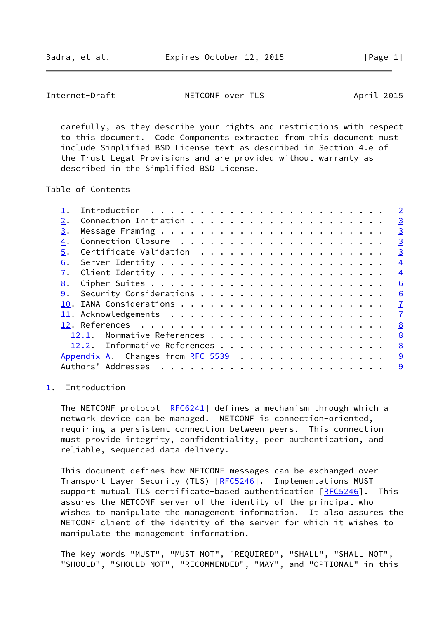<span id="page-1-1"></span> carefully, as they describe your rights and restrictions with respect to this document. Code Components extracted from this document must include Simplified BSD License text as described in Section 4.e of the Trust Legal Provisions and are provided without warranty as described in the Simplified BSD License.

Table of Contents

|    |                                            | $\overline{2}$ |
|----|--------------------------------------------|----------------|
| 2. |                                            | $\overline{3}$ |
| 3. |                                            | $\overline{3}$ |
| 4. |                                            | $\overline{3}$ |
| 5. |                                            | $\overline{3}$ |
| 6. |                                            | $\overline{4}$ |
| 7. |                                            | $\overline{4}$ |
| 8. |                                            | 6              |
| 9. |                                            | 6              |
|    |                                            | $\overline{1}$ |
|    |                                            | $\mathbf{Z}$   |
|    |                                            | 8              |
|    | 12.1. Normative References                 | 8              |
|    | 12.2. Informative References               | 8              |
|    | Appendix A. Changes from RFC 5539 $\ldots$ | 9              |
|    | Authors' Addresses                         | $\overline{9}$ |
|    |                                            |                |

## <span id="page-1-0"></span>[1](#page-1-0). Introduction

The NETCONF protocol  $[REC6241]$  defines a mechanism through which a network device can be managed. NETCONF is connection-oriented, requiring a persistent connection between peers. This connection must provide integrity, confidentiality, peer authentication, and reliable, sequenced data delivery.

 This document defines how NETCONF messages can be exchanged over Transport Layer Security (TLS) [\[RFC5246](https://datatracker.ietf.org/doc/pdf/rfc5246)]. Implementations MUST support mutual TLS certificate-based authentication [\[RFC5246](https://datatracker.ietf.org/doc/pdf/rfc5246)]. This assures the NETCONF server of the identity of the principal who wishes to manipulate the management information. It also assures the NETCONF client of the identity of the server for which it wishes to manipulate the management information.

 The key words "MUST", "MUST NOT", "REQUIRED", "SHALL", "SHALL NOT", "SHOULD", "SHOULD NOT", "RECOMMENDED", "MAY", and "OPTIONAL" in this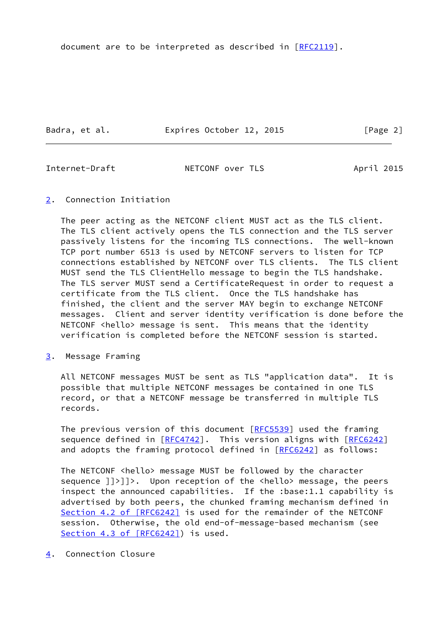document are to be interpreted as described in [\[RFC2119](https://datatracker.ietf.org/doc/pdf/rfc2119)].

Badra, et al. **Expires October 12, 2015** [Page 2]

<span id="page-2-1"></span>

Internet-Draft NETCONF over TLS April 2015

<span id="page-2-0"></span>[2](#page-2-0). Connection Initiation

 The peer acting as the NETCONF client MUST act as the TLS client. The TLS client actively opens the TLS connection and the TLS server passively listens for the incoming TLS connections. The well-known TCP port number 6513 is used by NETCONF servers to listen for TCP connections established by NETCONF over TLS clients. The TLS client MUST send the TLS ClientHello message to begin the TLS handshake. The TLS server MUST send a CertificateRequest in order to request a certificate from the TLS client. Once the TLS handshake has finished, the client and the server MAY begin to exchange NETCONF messages. Client and server identity verification is done before the NETCONF <hello> message is sent. This means that the identity verification is completed before the NETCONF session is started.

<span id="page-2-2"></span>[3](#page-2-2). Message Framing

 All NETCONF messages MUST be sent as TLS "application data". It is possible that multiple NETCONF messages be contained in one TLS record, or that a NETCONF message be transferred in multiple TLS records.

The previous version of this document [[RFC5539](https://datatracker.ietf.org/doc/pdf/rfc5539)] used the framing sequence defined in [\[RFC4742](https://datatracker.ietf.org/doc/pdf/rfc4742)]. This version aligns with [\[RFC6242](https://datatracker.ietf.org/doc/pdf/rfc6242)] and adopts the framing protocol defined in [[RFC6242\]](https://datatracker.ietf.org/doc/pdf/rfc6242) as follows:

The NETCONF <hello> message MUST be followed by the character sequence  $]]$ >]]>. Upon reception of the <hello> message, the peers inspect the announced capabilities. If the :base:1.1 capability is advertised by both peers, the chunked framing mechanism defined in Section [4.2 of \[RFC6242\]](https://datatracker.ietf.org/doc/pdf/rfc6242#section-4.2) is used for the remainder of the NETCONF session. Otherwise, the old end-of-message-based mechanism (see Section [4.3 of \[RFC6242\]](https://datatracker.ietf.org/doc/pdf/rfc6242#section-4.3)) is used.

<span id="page-2-3"></span>[4](#page-2-3). Connection Closure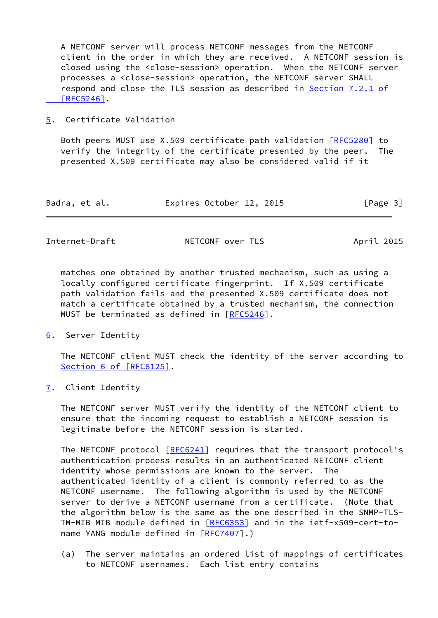A NETCONF server will process NETCONF messages from the NETCONF client in the order in which they are received. A NETCONF session is closed using the <close-session> operation. When the NETCONF server processes a <close-session> operation, the NETCONF server SHALL respond and close the TLS session as described in Section [7.2.1 of](https://datatracker.ietf.org/doc/pdf/rfc5246#section-7.2.1)  [\[RFC5246\]](https://datatracker.ietf.org/doc/pdf/rfc5246#section-7.2.1).

## <span id="page-3-0"></span>[5](#page-3-0). Certificate Validation

 Both peers MUST use X.509 certificate path validation [[RFC5280](https://datatracker.ietf.org/doc/pdf/rfc5280)] to verify the integrity of the certificate presented by the peer. The presented X.509 certificate may also be considered valid if it

| Badra, et al. | Expires October 12, 2015 | [Page 3] |
|---------------|--------------------------|----------|
|---------------|--------------------------|----------|

<span id="page-3-2"></span>

| Internet-Draft | NETCONF over TLS | April 2015 |
|----------------|------------------|------------|
|----------------|------------------|------------|

 matches one obtained by another trusted mechanism, such as using a locally configured certificate fingerprint. If X.509 certificate path validation fails and the presented X.509 certificate does not match a certificate obtained by a trusted mechanism, the connection MUST be terminated as defined in [\[RFC5246](https://datatracker.ietf.org/doc/pdf/rfc5246)].

<span id="page-3-1"></span>[6](#page-3-1). Server Identity

 The NETCONF client MUST check the identity of the server according to Section [6 of \[RFC6125\]](https://datatracker.ietf.org/doc/pdf/rfc6125#section-6).

<span id="page-3-3"></span>[7](#page-3-3). Client Identity

 The NETCONF server MUST verify the identity of the NETCONF client to ensure that the incoming request to establish a NETCONF session is legitimate before the NETCONF session is started.

The NETCONF protocol [\[RFC6241](https://datatracker.ietf.org/doc/pdf/rfc6241)] requires that the transport protocol's authentication process results in an authenticated NETCONF client identity whose permissions are known to the server. The authenticated identity of a client is commonly referred to as the NETCONF username. The following algorithm is used by the NETCONF server to derive a NETCONF username from a certificate. (Note that the algorithm below is the same as the one described in the SNMP-TLS- TM-MIB MIB module defined in [\[RFC6353](https://datatracker.ietf.org/doc/pdf/rfc6353)] and in the ietf-x509-cert-to- name YANG module defined in [\[RFC7407](https://datatracker.ietf.org/doc/pdf/rfc7407)].)

 (a) The server maintains an ordered list of mappings of certificates to NETCONF usernames. Each list entry contains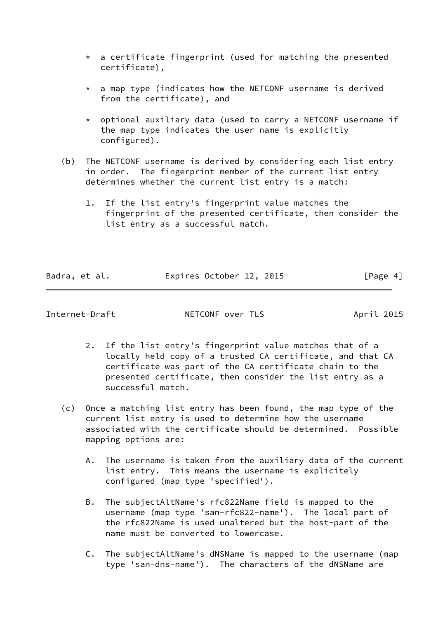- $*$  a certificate fingerprint (used for matching the presented certificate),
- $*$  a map type (indicates how the NETCONF username is derived from the certificate), and
- \* optional auxiliary data (used to carry a NETCONF username if the map type indicates the user name is explicitly configured).
- (b) The NETCONF username is derived by considering each list entry in order. The fingerprint member of the current list entry determines whether the current list entry is a match:
	- 1. If the list entry's fingerprint value matches the fingerprint of the presented certificate, then consider the list entry as a successful match.

| Badra, et al. |  | Expires October 12, 2015 |  | [Page 4] |  |
|---------------|--|--------------------------|--|----------|--|
|               |  |                          |  |          |  |

- 2. If the list entry's fingerprint value matches that of a locally held copy of a trusted CA certificate, and that CA certificate was part of the CA certificate chain to the presented certificate, then consider the list entry as a successful match.
- (c) Once a matching list entry has been found, the map type of the current list entry is used to determine how the username associated with the certificate should be determined. Possible mapping options are:
	- A. The username is taken from the auxiliary data of the current list entry. This means the username is explicitely configured (map type 'specified').
	- B. The subjectAltName's rfc822Name field is mapped to the username (map type 'san-rfc822-name'). The local part of the rfc822Name is used unaltered but the host-part of the name must be converted to lowercase.
	- C. The subjectAltName's dNSName is mapped to the username (map type 'san-dns-name'). The characters of the dNSName are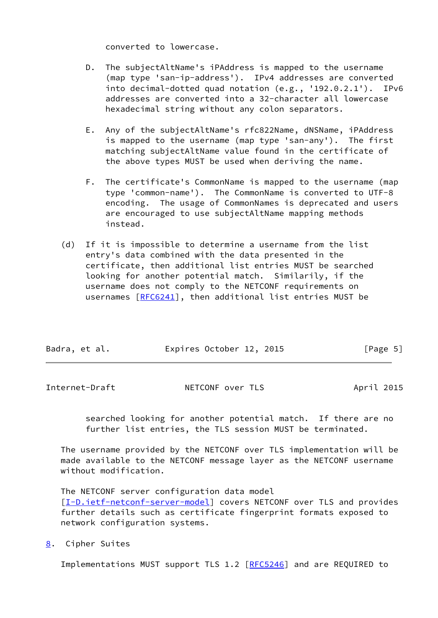converted to lowercase.

- D. The subjectAltName's iPAddress is mapped to the username (map type 'san-ip-address'). IPv4 addresses are converted into decimal-dotted quad notation (e.g., '192.0.2.1'). IPv6 addresses are converted into a 32-character all lowercase hexadecimal string without any colon separators.
- E. Any of the subjectAltName's rfc822Name, dNSName, iPAddress is mapped to the username (map type 'san-any'). The first matching subjectAltName value found in the certificate of the above types MUST be used when deriving the name.
- F. The certificate's CommonName is mapped to the username (map type 'common-name'). The CommonName is converted to UTF-8 encoding. The usage of CommonNames is deprecated and users are encouraged to use subjectAltName mapping methods instead.
- (d) If it is impossible to determine a username from the list entry's data combined with the data presented in the certificate, then additional list entries MUST be searched looking for another potential match. Similarily, if the username does not comply to the NETCONF requirements on usernames [\[RFC6241](https://datatracker.ietf.org/doc/pdf/rfc6241)], then additional list entries MUST be

| Badra, et al. | Expires October 12, 2015 | [Page 5] |
|---------------|--------------------------|----------|
|               |                          |          |

<span id="page-5-1"></span>

| Internet-Draft | NETCONF over TLS | April 2015 |
|----------------|------------------|------------|
|                |                  |            |

 searched looking for another potential match. If there are no further list entries, the TLS session MUST be terminated.

 The username provided by the NETCONF over TLS implementation will be made available to the NETCONF message layer as the NETCONF username without modification.

The NETCONF server configuration data model

[\[I-D.ietf-netconf-server-model](#page-9-2)] covers NETCONF over TLS and provides further details such as certificate fingerprint formats exposed to network configuration systems.

<span id="page-5-0"></span>[8](#page-5-0). Cipher Suites

Implementations MUST support TLS 1.2 [\[RFC5246](https://datatracker.ietf.org/doc/pdf/rfc5246)] and are REQUIRED to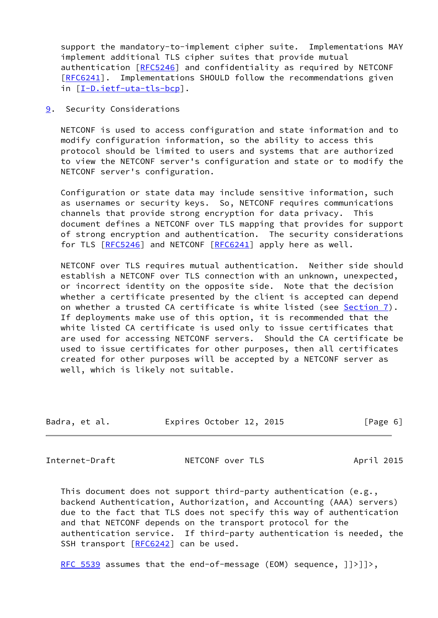support the mandatory-to-implement cipher suite. Implementations MAY implement additional TLS cipher suites that provide mutual authentication [\[RFC5246](https://datatracker.ietf.org/doc/pdf/rfc5246)] and confidentiality as required by NETCONF [\[RFC6241](https://datatracker.ietf.org/doc/pdf/rfc6241)]. Implementations SHOULD follow the recommendations given in [[I-D.ietf-uta-tls-bcp\]](#page-8-3).

<span id="page-6-0"></span>[9](#page-6-0). Security Considerations

 NETCONF is used to access configuration and state information and to modify configuration information, so the ability to access this protocol should be limited to users and systems that are authorized to view the NETCONF server's configuration and state or to modify the NETCONF server's configuration.

 Configuration or state data may include sensitive information, such as usernames or security keys. So, NETCONF requires communications channels that provide strong encryption for data privacy. This document defines a NETCONF over TLS mapping that provides for support of strong encryption and authentication. The security considerations for TLS [\[RFC5246](https://datatracker.ietf.org/doc/pdf/rfc5246)] and NETCONF [[RFC6241](https://datatracker.ietf.org/doc/pdf/rfc6241)] apply here as well.

 NETCONF over TLS requires mutual authentication. Neither side should establish a NETCONF over TLS connection with an unknown, unexpected, or incorrect identity on the opposite side. Note that the decision whether a certificate presented by the client is accepted can depend on whether a trusted CA certificate is white listed (see [Section 7](#page-3-3)). If deployments make use of this option, it is recommended that the white listed CA certificate is used only to issue certificates that are used for accessing NETCONF servers. Should the CA certificate be used to issue certificates for other purposes, then all certificates created for other purposes will be accepted by a NETCONF server as well, which is likely not suitable.

| Badra, et al. | Expires October 12, 2015 | [Page 6] |
|---------------|--------------------------|----------|

<span id="page-6-1"></span>Internet-Draft **NETCONF** over TLS April 2015

 This document does not support third-party authentication (e.g., backend Authentication, Authorization, and Accounting (AAA) servers) due to the fact that TLS does not specify this way of authentication and that NETCONF depends on the transport protocol for the authentication service. If third-party authentication is needed, the SSH transport [[RFC6242](https://datatracker.ietf.org/doc/pdf/rfc6242)] can be used.

[RFC 5539](https://datatracker.ietf.org/doc/pdf/rfc5539) assumes that the end-of-message (EOM) sequence,  $]$ ) ),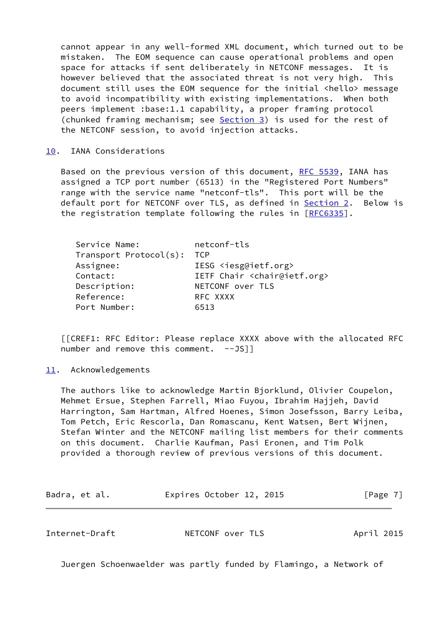cannot appear in any well-formed XML document, which turned out to be mistaken. The EOM sequence can cause operational problems and open space for attacks if sent deliberately in NETCONF messages. It is however believed that the associated threat is not very high. This document still uses the EOM sequence for the initial <hello> message to avoid incompatibility with existing implementations. When both peers implement :base:1.1 capability, a proper framing protocol (chunked framing mechanism; see [Section 3](#page-2-2)) is used for the rest of the NETCONF session, to avoid injection attacks.

<span id="page-7-0"></span>[10.](#page-7-0) IANA Considerations

Based on the previous version of this document, [RFC 5539](https://datatracker.ietf.org/doc/pdf/rfc5539), IANA has assigned a TCP port number (6513) in the "Registered Port Numbers" range with the service name "netconf-tls". This port will be the default port for NETCONF over TLS, as defined in **Section 2.** Below is the registration template following the rules in [\[RFC6335](https://datatracker.ietf.org/doc/pdf/rfc6335)].

| Service Name:          | netconf-tls                                  |
|------------------------|----------------------------------------------|
| Transport Protocol(s): | <b>TCP</b>                                   |
| Assignee:              | IESG <iesg@ietf.org></iesg@ietf.org>         |
| Contact:               | IETF Chair <chair@ietf.org></chair@ietf.org> |
| Description:           | NETCONF over TLS                             |
| Reference:             | RFC XXXX                                     |
| Port Number:           | 6513                                         |

 [[CREF1: RFC Editor: Please replace XXXX above with the allocated RFC number and remove this comment. --JS]]

<span id="page-7-1"></span>[11.](#page-7-1) Acknowledgements

 The authors like to acknowledge Martin Bjorklund, Olivier Coupelon, Mehmet Ersue, Stephen Farrell, Miao Fuyou, Ibrahim Hajjeh, David Harrington, Sam Hartman, Alfred Hoenes, Simon Josefsson, Barry Leiba, Tom Petch, Eric Rescorla, Dan Romascanu, Kent Watsen, Bert Wijnen, Stefan Winter and the NETCONF mailing list members for their comments on this document. Charlie Kaufman, Pasi Eronen, and Tim Polk provided a thorough review of previous versions of this document.

| Badra, et al. |  |  | Expires October 12, 2015 |  |  | [Page 7] |
|---------------|--|--|--------------------------|--|--|----------|
|---------------|--|--|--------------------------|--|--|----------|

<span id="page-7-2"></span>

| Internet-Draft | NETCONF over TLS | April 2015 |  |
|----------------|------------------|------------|--|
|                |                  |            |  |

Juergen Schoenwaelder was partly funded by Flamingo, a Network of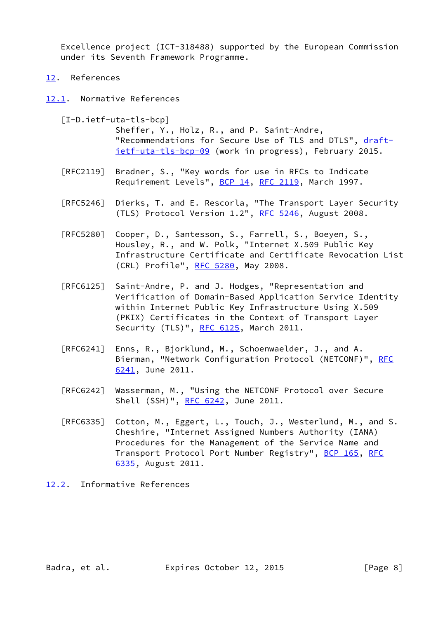Excellence project (ICT-318488) supported by the European Commission under its Seventh Framework Programme.

<span id="page-8-0"></span>[12.](#page-8-0) References

<span id="page-8-1"></span>[12.1](#page-8-1). Normative References

<span id="page-8-3"></span> [I-D.ietf-uta-tls-bcp] Sheffer, Y., Holz, R., and P. Saint-Andre, "Recommendations for Secure Use of TLS and DTLS", [draft](https://datatracker.ietf.org/doc/pdf/draft-ietf-uta-tls-bcp-09) [ietf-uta-tls-bcp-09](https://datatracker.ietf.org/doc/pdf/draft-ietf-uta-tls-bcp-09) (work in progress), February 2015.

- [RFC2119] Bradner, S., "Key words for use in RFCs to Indicate Requirement Levels", [BCP 14](https://datatracker.ietf.org/doc/pdf/bcp14), [RFC 2119](https://datatracker.ietf.org/doc/pdf/rfc2119), March 1997.
- [RFC5246] Dierks, T. and E. Rescorla, "The Transport Layer Security (TLS) Protocol Version 1.2", [RFC 5246](https://datatracker.ietf.org/doc/pdf/rfc5246), August 2008.
- [RFC5280] Cooper, D., Santesson, S., Farrell, S., Boeyen, S., Housley, R., and W. Polk, "Internet X.509 Public Key Infrastructure Certificate and Certificate Revocation List (CRL) Profile", [RFC 5280,](https://datatracker.ietf.org/doc/pdf/rfc5280) May 2008.
- [RFC6125] Saint-Andre, P. and J. Hodges, "Representation and Verification of Domain-Based Application Service Identity within Internet Public Key Infrastructure Using X.509 (PKIX) Certificates in the Context of Transport Layer Security (TLS)", [RFC 6125,](https://datatracker.ietf.org/doc/pdf/rfc6125) March 2011.
- [RFC6241] Enns, R., Bjorklund, M., Schoenwaelder, J., and A. Bierman, "Network Configuration Protocol (NETCONF)", [RFC](https://datatracker.ietf.org/doc/pdf/rfc6241) [6241,](https://datatracker.ietf.org/doc/pdf/rfc6241) June 2011.
- [RFC6242] Wasserman, M., "Using the NETCONF Protocol over Secure Shell (SSH)", [RFC 6242](https://datatracker.ietf.org/doc/pdf/rfc6242), June 2011.
- [RFC6335] Cotton, M., Eggert, L., Touch, J., Westerlund, M., and S. Cheshire, "Internet Assigned Numbers Authority (IANA) Procedures for the Management of the Service Name and Transport Protocol Port Number Registry", [BCP 165](https://datatracker.ietf.org/doc/pdf/bcp165), [RFC](https://datatracker.ietf.org/doc/pdf/rfc6335) [6335,](https://datatracker.ietf.org/doc/pdf/rfc6335) August 2011.

## <span id="page-8-2"></span>[12.2](#page-8-2). Informative References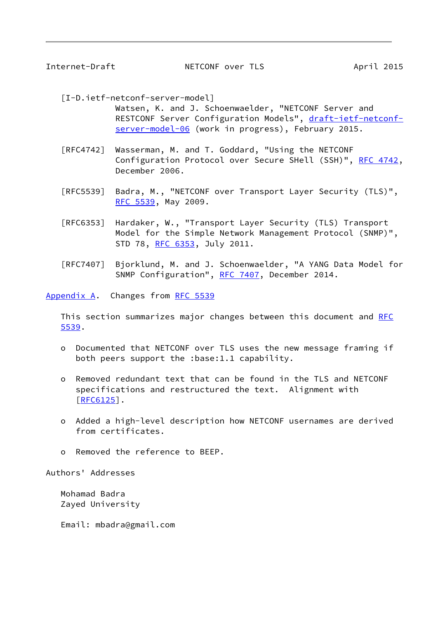<span id="page-9-1"></span>

<span id="page-9-2"></span>[I-D.ietf-netconf-server-model]

 Watsen, K. and J. Schoenwaelder, "NETCONF Server and RESTCONF Server Configuration Models", [draft-ietf-netconf](https://datatracker.ietf.org/doc/pdf/draft-ietf-netconf-server-model-06) [server-model-06](https://datatracker.ietf.org/doc/pdf/draft-ietf-netconf-server-model-06) (work in progress), February 2015.

- [RFC4742] Wasserman, M. and T. Goddard, "Using the NETCONF Configuration Protocol over Secure SHell (SSH)", [RFC 4742,](https://datatracker.ietf.org/doc/pdf/rfc4742) December 2006.
- [RFC5539] Badra, M., "NETCONF over Transport Layer Security (TLS)", [RFC 5539,](https://datatracker.ietf.org/doc/pdf/rfc5539) May 2009.
- [RFC6353] Hardaker, W., "Transport Layer Security (TLS) Transport Model for the Simple Network Management Protocol (SNMP)", STD 78, [RFC 6353,](https://datatracker.ietf.org/doc/pdf/rfc6353) July 2011.
- [RFC7407] Bjorklund, M. and J. Schoenwaelder, "A YANG Data Model for SNMP Configuration", [RFC 7407](https://datatracker.ietf.org/doc/pdf/rfc7407), December 2014.

<span id="page-9-0"></span>[Appendix A.](#page-9-0) Changes from [RFC 5539](https://datatracker.ietf.org/doc/pdf/rfc5539)

This section summarizes major changes between this document and [RFC](https://datatracker.ietf.org/doc/pdf/rfc5539) [5539](https://datatracker.ietf.org/doc/pdf/rfc5539).

- o Documented that NETCONF over TLS uses the new message framing if both peers support the :base:1.1 capability.
- o Removed redundant text that can be found in the TLS and NETCONF specifications and restructured the text. Alignment with [[RFC6125\]](https://datatracker.ietf.org/doc/pdf/rfc6125).
- o Added a high-level description how NETCONF usernames are derived from certificates.
- o Removed the reference to BEEP.

Authors' Addresses

 Mohamad Badra Zayed University

Email: mbadra@gmail.com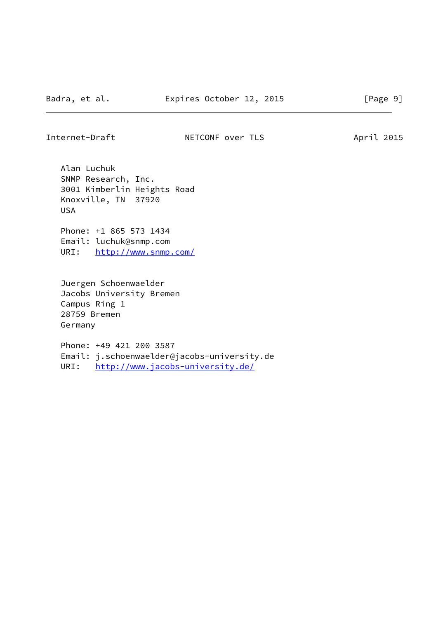Alan Luchuk SNMP Research, Inc. 3001 Kimberlin Heights Road Knoxville, TN 37920 USA

 Phone: +1 865 573 1434 Email: luchuk@snmp.com URI: <http://www.snmp.com/>

 Juergen Schoenwaelder Jacobs University Bremen Campus Ring 1 28759 Bremen Germany

 Phone: +49 421 200 3587 Email: j.schoenwaelder@jacobs-university.de URI: <http://www.jacobs-university.de/>